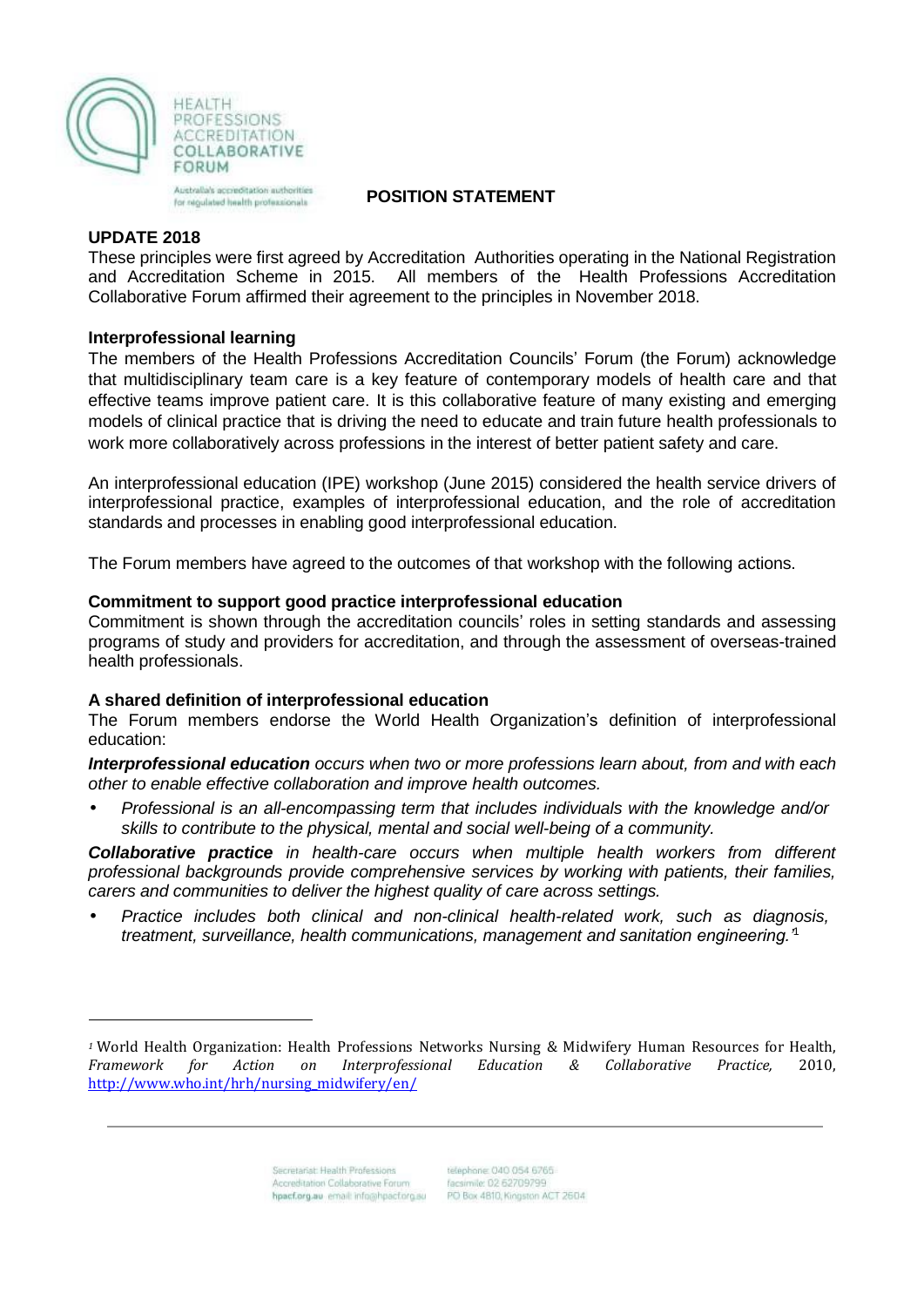

Australia's accreditation authorities for nigulated health professionals

# **POSITION STATEMENT**

### **UPDATE 2018**

These principles were first agreed by Accreditation Authorities operating in the National Registration and Accreditation Scheme in 2015. All members of the Health Professions Accreditation Collaborative Forum affirmed their agreement to the principles in November 2018.

# **Interprofessional learning**

The members of the Health Professions Accreditation Councils' Forum (the Forum) acknowledge that multidisciplinary team care is a key feature of contemporary models of health care and that effective teams improve patient care. It is this collaborative feature of many existing and emerging models of clinical practice that is driving the need to educate and train future health professionals to work more collaboratively across professions in the interest of better patient safety and care.

An interprofessional education (IPE) workshop (June 2015) considered the health service drivers of interprofessional practice, examples of interprofessional education, and the role of accreditation standards and processes in enabling good interprofessional education.

The Forum members have agreed to the outcomes of that workshop with the following actions.

### **Commitment to support good practice interprofessional education**

Commitment is shown through the accreditation councils' roles in setting standards and assessing programs of study and providers for accreditation, and through the assessment of overseas-trained health professionals.

# **A shared definition of interprofessional education**

The Forum members endorse the World Health Organization's definition of interprofessional education:

*Interprofessional education occurs when two or more professions learn about, from and with each other to enable effective collaboration and improve health outcomes.*

• *Professional is an all-encompassing term that includes individuals with the knowledge and/or skills to contribute to the physical, mental and social well-being of a community.*

*Collaborative practice in health-care occurs when multiple health workers from different professional backgrounds provide comprehensive services by working with patients, their families, carers and communities to deliver the highest quality of care across settings.*

• *Practice includes both clinical and non-clinical health-related work, such as diagnosis, treatment, surveillance, health communications, management and sanitation engineering.'*<sup>1</sup>

*<sup>1</sup>* World Health Organization: Health Professions Networks Nursing & Midwifery Human Resources for Health, *Framework for Action on Interprofessional Education & Collaborative Practice,* 2010, [http://www.who.int/hrh/nursing\\_midwifery/en/](http://www.who.int/hrh/nursing_midwifery/en/)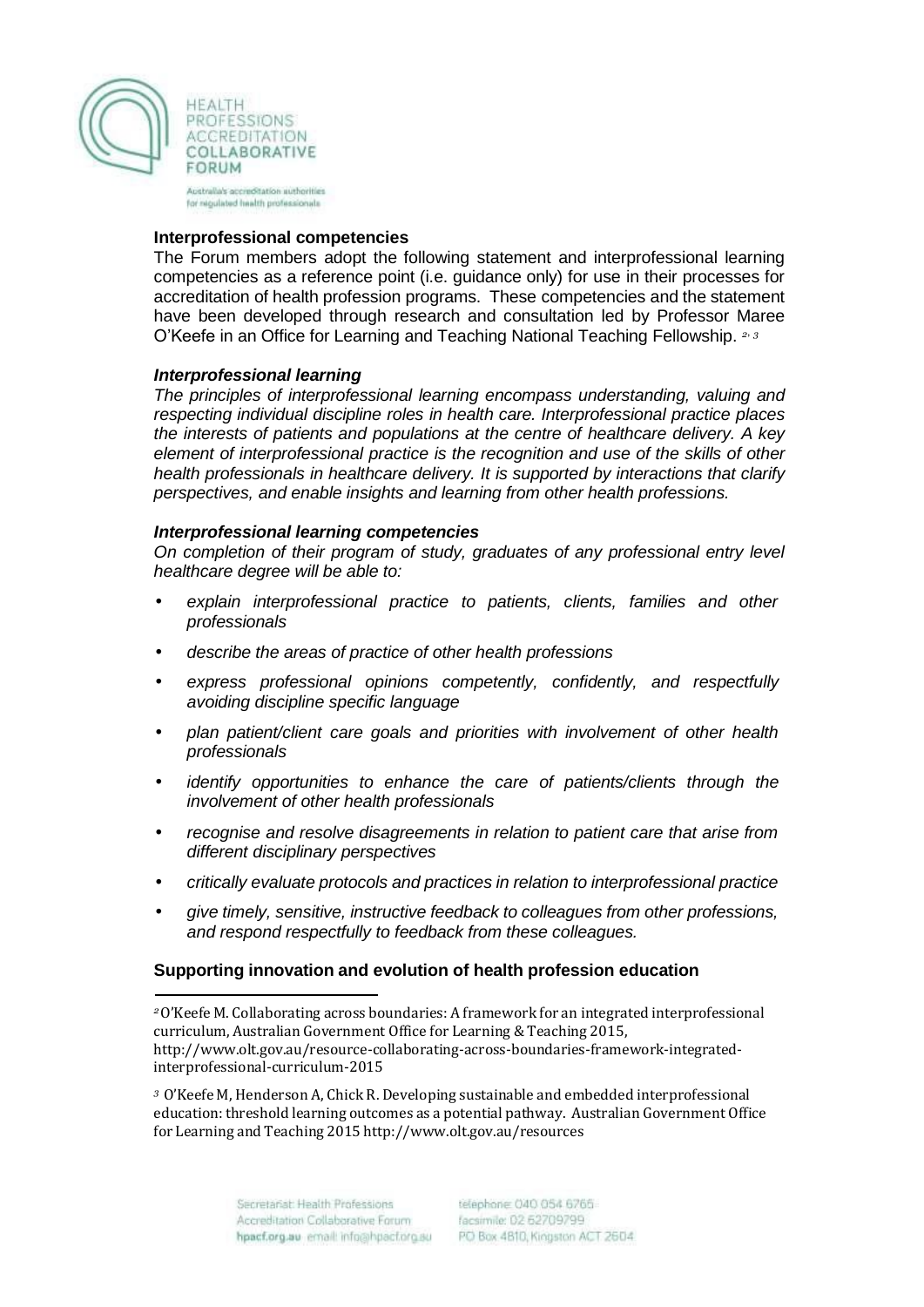

Australia's accreditation authorities for nigulated health professionate

#### **Interprofessional competencies**

The Forum members adopt the following statement and interprofessional learning competencies as a reference point (i.e. guidance only) for use in their processes for accreditation of health profession programs. These competencies and the statement have been developed through research and consultation led by Professor Maree O'Keefe in an Office for Learning and Teaching National Teaching Fellowship. *<sup>2</sup>*, *<sup>3</sup>*

### *Interprofessional learning*

*The principles of interprofessional learning encompass understanding, valuing and respecting individual discipline roles in health care. Interprofessional practice places the interests of patients and populations at the centre of healthcare delivery. A key element of interprofessional practice is the recognition and use of the skills of other health professionals in healthcare delivery. It is supported by interactions that clarify perspectives, and enable insights and learning from other health professions.*

### *Interprofessional learning competencies*

*On completion of their program of study, graduates of any professional entry level healthcare degree will be able to:*

- *explain interprofessional practice to patients, clients, families and other professionals*
- *describe the areas of practice of other health professions*
- *express professional opinions competently, confidently, and respectfully avoiding discipline specific language*
- *plan patient/client care goals and priorities with involvement of other health professionals*
- *identify opportunities to enhance the care of patients/clients through the involvement of other health professionals*
- *recognise and resolve disagreements in relation to patient care that arise from different disciplinary perspectives*
- *critically evaluate protocols and practices in relation to interprofessional practice*
- *give timely, sensitive, instructive feedback to colleagues from other professions, and respond respectfully to feedback from these colleagues.*

# **Supporting innovation and evolution of health profession education**

*<sup>3</sup>*O'Keefe M, Henderson A, Chick R. Developing sustainable and embedded [interprofessional](https://www.researchgate.net/publication/281060430_Developing_sustainable_and_embedded_interprofessional_education_threshold_learning_outcomes_as_a_potential_pathway) [education:](https://www.researchgate.net/publication/281060430_Developing_sustainable_and_embedded_interprofessional_education_threshold_learning_outcomes_as_a_potential_pathway) threshold learning outcomes as a potential pathway. Australian Government Office for Learning and Teaching 2015 [http://www.olt.gov.au/resources](http://www.olt.gov.au/resources?text=Using%2Bteam%2Bmanagement%2Bsystems%2Bto%2Bidentify%2Band%2Bbuild%2Bleadership%2Bfor%2Bquality%2Blearning%2Bin%2Bclinical%2Bhealth%2Bcare%2Bteams)

*<sup>2</sup>*O'Keefe M. Collaborating across boundaries: A framework for an integrated interprofessional curriculum, Australian Government Office for Learning & Teaching 2015[,](http://www.olt.gov.au/resource-collaborating-across-boundaries-framework-integrated-interprofessional-curriculum-2015) [http://www.olt.gov.au/resource-collaborating-across-boundaries-framework-integrated](http://www.olt.gov.au/resource-collaborating-across-boundaries-framework-integrated-interprofessional-curriculum-2015)[interprofessional-curriculum-2015](http://www.olt.gov.au/resource-collaborating-across-boundaries-framework-integrated-interprofessional-curriculum-2015)